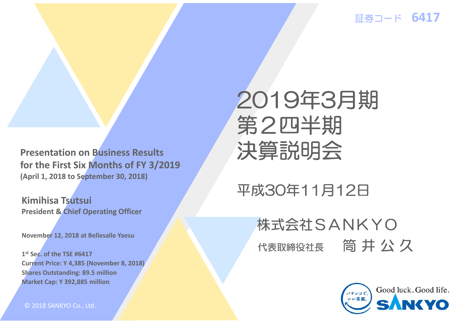証券コード **6417**

**Presentation on Business Results for the First Six Months of FY 3/2019 (April 1, 2018 to September 30, 2018)**

**Kimihisa Tsutsui President & Chief Operating Officer**

**November 12, 2018 at Bellesalle Yaesu**

**1st Sec. of the TSE #6417Current Price: Y 4,385 (November 8, 2018) Shares Outstanding: 89.5 million Market Cap: Y 392,885 million**

© 2018 SANKYO Co., Ltd.

# 2019年3月期 第2四半期 決算説明会

## 平成30年11月12日

# 代表取締役社長 筒井公久 株式会社SANKYO

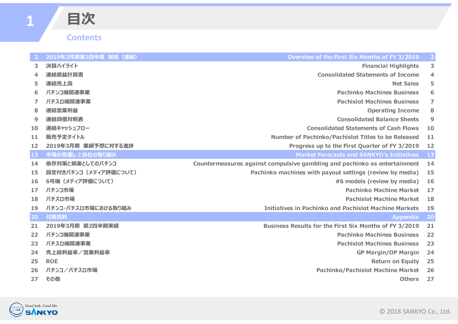### **Contents**

**⽬次**

| 2  | 2019年3月期第2四半期 総括 (連結) | Overview of the First Six Months of FY 3/2019                             |                |
|----|-----------------------|---------------------------------------------------------------------------|----------------|
| 3. | 決算ハイライト               | <b>Financial Highlights</b>                                               | 3              |
| 4  | 連結損益計算書               | <b>Consolidated Statements of Income</b>                                  | 4              |
| 5  | 連結売上高                 | <b>Net Sales</b>                                                          | 5              |
| 6  | パチンコ機関連事業             | <b>Pachinko Machines Business</b>                                         | 6              |
| 7  | パチスロ機関連事業             | <b>Pachislot Machines Business</b>                                        | $\overline{7}$ |
| 8  | 連結営業利益                | <b>Operating Income</b>                                                   | 8              |
| 9  | 連結貸借対照表               | <b>Consolidated Balance Sheets</b>                                        | 9              |
| 10 | 連結キャッシュフロー            | <b>Consolidated Statements of Cash Flows</b>                              | 10             |
| 11 | 販売予定タイトル              | Number of Pachinko/Pachislot Titles to be Released                        | 11             |
| 12 | 2019年3月期 業績予想に対する進捗   | Progress up to the First Quarter of FY 3/2019                             | 12             |
| 13 | 市場の見通しと当社の取り組み        | <b>Market Forecasts and SANKYO's Initiatives</b>                          | 13             |
| 14 | 依存対策と娯楽としてのパチンコ       | Countermeasures against compulsive gambling and pachinko as entertainment | 14             |
| 15 | 設定付きパチンコ(メディア評価について)  | Pachinko machines with payout settings (review by media)                  | 15             |
| 16 | 6号機 (メディア評価について)      | #6 models (review by media)                                               | 16             |
| 17 | パチンコ市場                | <b>Pachinko Machine Market</b>                                            | 17             |
| 18 | パチスロ市場                | <b>Pachislot Machine Market</b>                                           | 18             |
| 19 | パチンコ・パチスロ市場における取り組み   | <b>Initiatives in Pachinko and Pachislot Machine Markets</b>              | 19             |
| 20 | 付属資料                  | <b>Appendix</b>                                                           | <b>20</b>      |
| 21 | 2019年3月期 第2四半期実績      | Business Results for the First Six Months of FY 3/2019                    | 21             |
| 22 | パチンコ機関連事業             | <b>Pachinko Machines Business</b>                                         | 22             |
| 23 | パチスロ機関連事業             | <b>Pachislot Machines Business</b>                                        | 23             |
| 24 | 売上総利益率/営業利益率          | <b>GP Margin/OP Margin</b>                                                | 24             |
| 25 | <b>ROE</b>            | <b>Return on Equity</b>                                                   | 25             |
| 26 | パチンコ/パチスロ市場           | <b>Pachinko/Pachislot Machine Market</b>                                  | 26             |
| 27 | その他                   | <b>Others</b>                                                             | 27             |

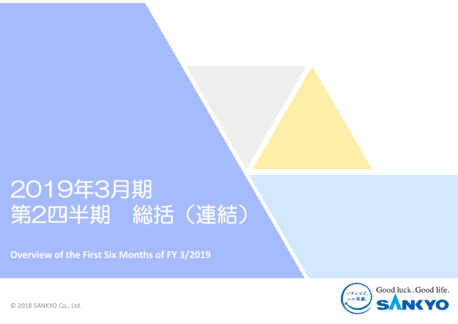# 2019年3月期 第2四半期 総括(連結)

**Overview of the First Six Months of FY 3/2019**

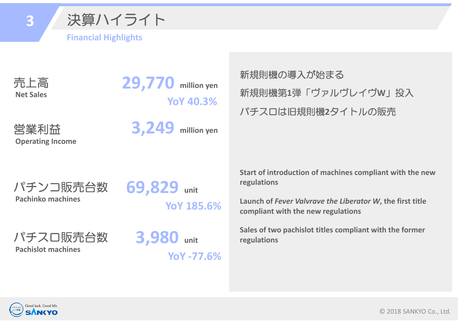

#### **Financial Highlights**

売上高 **Net Sales**

**29,770 million yen YoY 40.3%** 

営業利益 **Operating Income** **3,249 million yen** 新規則機の導入が始まる 新規則機第**1**弾「ヴァルヴレイヴ**W**」投入 パチスロは旧規則機**2**タイトルの販売

パチンコ販売台数 **Pachinko machines**

**69,829 unit**

**YoY 185.6%** 

パチスロ販売台数 **Pachislot machines**

**3,980 unit YoY ‐77.6%**  **Start of introduction of machines compliant with the new regulations**

**Launch of** *Fever Valvrave the Liberator W***, the first title compliant with the new regulations**

**Sales of two pachislot titles compliant with the former regulations**

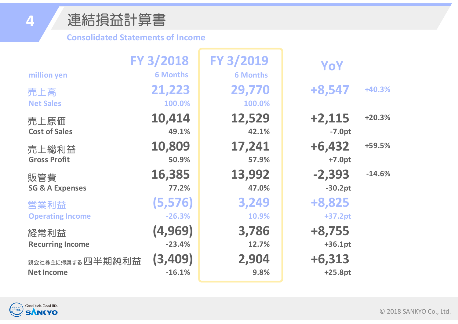#### **Consolidated Statements of Income**

| million yen                  | FY 3/2018<br><b>6 Months</b> | FY 3/2019<br><b>6 Months</b> | YoY       |          |
|------------------------------|------------------------------|------------------------------|-----------|----------|
| 売上高                          | 21,223                       | 29,770                       | +8,547    | +40.3%   |
| <b>Net Sales</b>             | 100.0%                       | 100.0%                       |           |          |
| 売上原価                         | 10,414                       | 12,529                       | $+2,115$  | $+20.3%$ |
| <b>Cost of Sales</b>         | 49.1%                        | 42.1%                        | $-7.0pt$  |          |
| 売上総利益                        | 10,809                       | 17,241                       | $+6,432$  | +59.5%   |
| <b>Gross Profit</b>          | 50.9%                        | 57.9%                        | $+7.0pt$  |          |
| 販管費                          | 16,385                       | 13,992                       | $-2,393$  | $-14.6%$ |
| <b>SG &amp; A Expenses</b>   | 77.2%                        | 47.0%                        | $-30.2pt$ |          |
| 営業利益                         | (5,576)                      | 3,249                        | +8,825    |          |
| <b>Operating Income</b>      | $-26.3%$                     | 10.9%                        | +37.2pt   |          |
| 経常利益                         | (4, 969)                     | 3,786                        | $+8,755$  |          |
| <b>Recurring Income</b>      | $-23.4%$                     | 12.7%                        | $+36.1pt$ |          |
| <sub>親会社株主に帰属する</sub> 四半期純利益 | (3,409)                      | 2,904                        | $+6,313$  |          |
| <b>Net Income</b>            | $-16.1%$                     | 9.8%                         | $+25.8pt$ |          |



**4**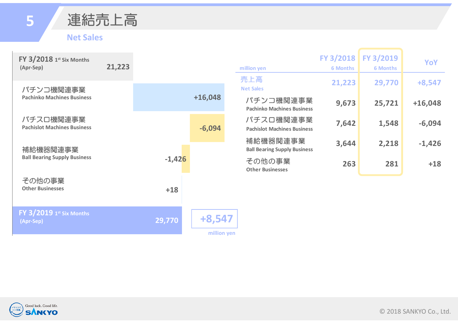



#### **Net Sales**

| <b>FY 3/2018 1st Six Months</b><br>(Apr-Sep)    | 21,223 |          |                       | million yen                                     | FY 3/2018<br><b>6 Months</b> | FY 3/2019<br><b>6 Months</b> | YoY       |
|-------------------------------------------------|--------|----------|-----------------------|-------------------------------------------------|------------------------------|------------------------------|-----------|
| パチンコ機関連事業                                       |        |          |                       | 売上高<br><b>Net Sales</b>                         | 21,223                       | 29,770                       | $+8,547$  |
| <b>Pachinko Machines Business</b>               |        |          | $+16,048$             | パチンコ機関連事業<br><b>Pachinko Machines Business</b>  | 9,673                        | 25,721                       | $+16,048$ |
| パチスロ機関連事業<br><b>Pachislot Machines Business</b> |        |          | $-6,094$              | パチスロ機関連事業<br><b>Pachislot Machines Business</b> | 7,642                        | 1,548                        | $-6,094$  |
| 補給機器関連事業                                        |        |          |                       | 補給機器関連事業<br><b>Ball Bearing Supply Business</b> | 3,644                        | 2,218                        | $-1,426$  |
| <b>Ball Bearing Supply Business</b>             |        | $-1,426$ |                       | その他の事業<br><b>Other Businesses</b>               | 263                          | 281                          | $+18$     |
| その他の事業<br><b>Other Businesses</b>               |        | $+18$    |                       |                                                 |                              |                              |           |
| $FY$ $3/2019$ $I^{st}$ Six Months<br>(Apr-Sep)  |        | 29,770   | +8,547<br>million yen |                                                 |                              |                              |           |

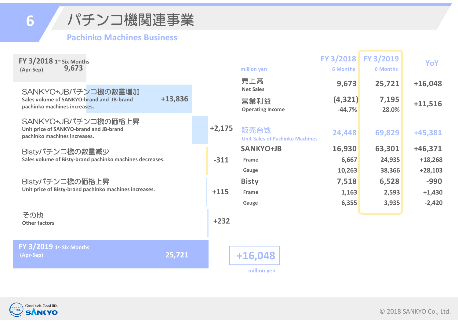**6**

パチンコ機関連事業

#### **Pachinko Machines Business**

| FY 3/2018 1st Six Months<br>9,673<br>(Apr-Sep)                                                   |         |          | million yen                                    | <b>6 Months</b>      | FY 3/2018 FY 3/2019<br><b>6 Months</b> | <b>YoY</b>             |
|--------------------------------------------------------------------------------------------------|---------|----------|------------------------------------------------|----------------------|----------------------------------------|------------------------|
|                                                                                                  |         |          | 売上高<br><b>Net Sales</b>                        | 9,673                | 25,721                                 | $+16,048$              |
| SANKYO+JBパチンコ機の数量増加<br>Sales volume of SANKYO-brand and JB-brand<br>pachinko machines increases. | +13,836 |          | 営業利益<br><b>Operating Income</b>                | (4, 321)<br>$-44.7%$ | 7,195<br>28.0%                         | $+11,516$              |
| SANKYO+JBパチンコ機の価格上昇<br>Unit price of SANKYO-brand and JB-brand<br>pachinko machines increases.   |         | $+2,175$ | 販売台数<br><b>Unit Sales of Pachinko Machines</b> | 24,448               | 69,829                                 | +45,381                |
| Blstyパチンコ機の数量減少                                                                                  |         |          | <b>SANKYO+JB</b>                               | 16,930               | 63,301                                 | $+46,371$              |
| Sales volume of Bisty-brand pachinko machines decreases.                                         |         | $-311$   | Frame                                          | 6,667<br>10,263      | 24,935<br>38,366                       | $+18,268$<br>$+28,103$ |
| Blstyパチンコ機の価格上昇                                                                                  |         |          | Gauge<br><b>Bisty</b>                          | 7,518                | 6,528                                  | $-990$                 |
| Unit price of Bisty-brand pachinko machines increases.                                           |         | $+115$   | Frame                                          | 1,163                | 2,593                                  | $+1,430$               |
|                                                                                                  |         |          | Gauge                                          | 6,355                | 3,935                                  | $-2,420$               |
| その他<br><b>Other factors</b>                                                                      |         | $+232$   |                                                |                      |                                        |                        |
| $FY$ $3/2019$ $I^{st}$ Six Months<br>(Apr-Sep)                                                   | 25,721  |          | $+16,048$                                      |                      |                                        |                        |
|                                                                                                  |         |          | million yen                                    |                      |                                        |                        |

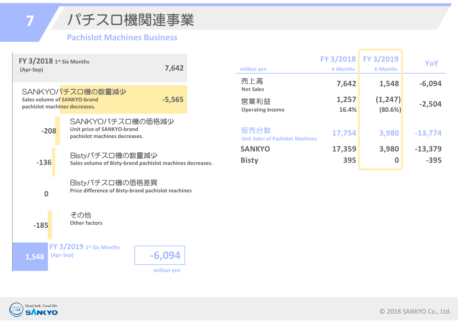パチスロ機関連事業 **7**

#### **Pachislot Machines Business**



| million yen                                     | FY 3/2018<br><b>6 Months</b> | FY 3/2019<br><b>6 Months</b> | YoY                 |
|-------------------------------------------------|------------------------------|------------------------------|---------------------|
| 売上高<br><b>Net Sales</b>                         | 7,642                        | 1,548                        | $-6,094$            |
| 営業利益<br><b>Operating Income</b>                 | 1,257<br>16.4%               | (1, 247)<br>(80.6%)          | $-2,504$            |
| 販売台数<br><b>Unit Sales of Pachislot Machines</b> | 17,754                       | 3,980                        | $-13,774$           |
| <b>SANKYO</b><br><b>Bisty</b>                   | 17,359<br>395                | 3,980<br>0                   | $-13,379$<br>$-395$ |

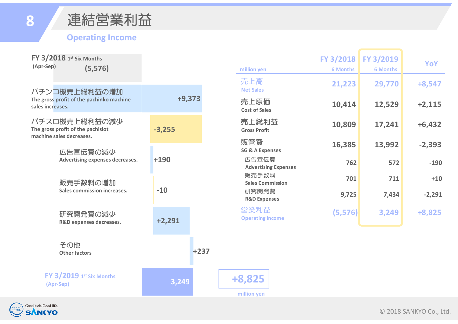### 連結営業利益

#### **Operating Income**

| FY $3/2018$ 1st Six Months<br>(Apr-Sep)<br>(5, 576)                            |          |        | million yen                                                                                                  | FY 3/2018<br><b>6 Months</b> | FY 3/2019<br><b>6 Months</b> | YoY      |
|--------------------------------------------------------------------------------|----------|--------|--------------------------------------------------------------------------------------------------------------|------------------------------|------------------------------|----------|
| パチンコ機売上総利益の増加                                                                  |          |        | 売上高<br><b>Net Sales</b>                                                                                      | 21,223                       | 29,770                       | $+8,547$ |
| The gross profit of the pachinko machine<br>sales increases.                   | $+9,373$ |        | 売上原価<br><b>Cost of Sales</b>                                                                                 | 10,414                       | 12,529                       | $+2,115$ |
| パチスロ機売上総利益の減少<br>The gross profit of the pachislot<br>machine sales decreases. | $-3,255$ |        | 売上総利益<br><b>Gross Profit</b>                                                                                 | 10,809                       | 17,241                       | $+6,432$ |
| 広告宣伝費の減少                                                                       |          |        | 販管費<br><b>SG &amp; A Expenses</b>                                                                            | 16,385                       | 13,992                       | $-2,393$ |
| Advertising expenses decreases.                                                | $+190$   |        | 広告宣伝費<br><b>Advertising Expenses</b><br>販売手数料<br><b>Sales Commission</b><br>研究開発費<br><b>R&amp;D Expenses</b> | 762                          | 572                          | $-190$   |
| 販売手数料の増加                                                                       |          |        |                                                                                                              | 701                          | 711                          | $+10$    |
| <b>Sales commission increases.</b>                                             | $-10$    |        |                                                                                                              | 9,725                        | 7,434                        | $-2,291$ |
| 研究開発費の減少<br>R&D expenses decreases.                                            | $+2,291$ |        | 営業利益<br><b>Operating Income</b>                                                                              | (5,576)                      | 3,249                        | +8,825   |
| その他<br><b>Other factors</b>                                                    |          | $+237$ |                                                                                                              |                              |                              |          |
| <b>FY 3/2019 1st Six Months</b><br>(Apr-Sep)                                   | 3,249    |        | +8,825<br>million yen                                                                                        |                              |                              |          |

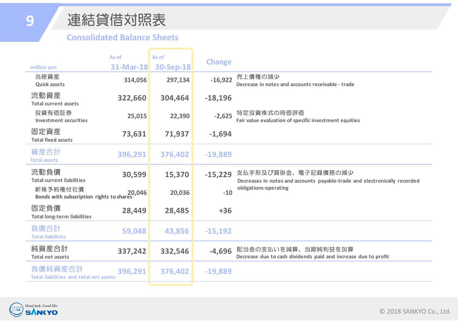### 連結貸借対照表

#### **Consolidated Balance Sheets**

|                                                          | As of            | As of            |               |                                                                                                  |
|----------------------------------------------------------|------------------|------------------|---------------|--------------------------------------------------------------------------------------------------|
| million yen                                              | <b>31-Mar-18</b> | <b>30-Sep-18</b> | <b>Change</b> |                                                                                                  |
| 当座資産<br><b>Quick assets</b>                              | 314,056          | 297,134          | $-16,922$     | 売上債権の減少<br>Decrease in notes and accounts receivable - trade                                     |
| 流動資産<br><b>Total current assets</b>                      | 322,660          | 304,464          | $-18,196$     |                                                                                                  |
| 投資有価証券<br><b>Investment securities</b>                   | 25,015           | 22,390           | $-2,625$      | 特定投資株式の時価評価<br>Fair value evaluation of specific investment equities                             |
| 固定資産<br><b>Total fixed assets</b>                        | 73,631           | 71,937           | $-1,694$      |                                                                                                  |
| 資産合計<br><b>Total assets</b>                              | 396,291          | 376,402          | $-19,889$     |                                                                                                  |
| 流動負債<br><b>Total current liabilities</b>                 | 30,599           | 15,370           | $-15,229$     | 支払手形及び買掛金、電子記録債務の減少<br>Decreases in notes and accounts payable-trade and electronically recorded |
| 新株予約権付社債<br>Bonds with subscription rights to shares     | 20,046           | 20,036           | $-10$         | obligations-operating                                                                            |
| 固定負債<br>28,449<br><b>Total long-term liabilities</b>     |                  | 28,485           | $+36$         |                                                                                                  |
| 負債合計<br><b>Total liabilities</b>                         | 59,048           | 43,856           | $-15,192$     |                                                                                                  |
| 純資産合計<br><b>Total net assets</b>                         | 337,242          | 332,546          | $-4,696$      | 配当金の支払いを減算、当期純利益を加算<br>Decrease due to cash dividends paid and increase due to profit            |
| 負債純資産合計<br><b>Total liabilities and total net assets</b> | 396,291          | 376,402          | $-19,889$     |                                                                                                  |
|                                                          |                  |                  |               |                                                                                                  |

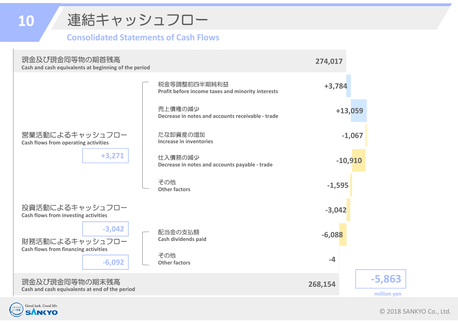

#### **Consolidated Statements of Cash Flows**

| 現金及び現金同等物の期首残高<br>Cash and cash equivalents at beginning of the period | 274,017 |                                                                   |           |             |
|------------------------------------------------------------------------|---------|-------------------------------------------------------------------|-----------|-------------|
|                                                                        |         | 税金等調整前四半期純利益<br>Profit before income taxes and minority interests | $+3,784$  |             |
|                                                                        |         | 売上債権の減少<br>Decrease in notes and accounts receivable - trade      | $+13,059$ |             |
| 営業活動によるキャッシュフロー<br>Cash flows from operating activities                |         | たな卸資産の増加<br>Increase in inventories                               | $-1,067$  |             |
| $+3,271$                                                               |         | 仕入債務の減少<br>Decrease in notes and accounts payable - trade         | $-10,910$ |             |
|                                                                        |         | その他<br><b>Other factors</b>                                       | $-1,595$  |             |
| 投資活動によるキャッシュフロー<br>Cash flows from investing activities                |         |                                                                   | $-3,042$  |             |
| $-3,042$<br>財務活動によるキャッシュフロー                                            |         | 配当金の支払額<br>Cash dividends paid                                    | $-6,088$  |             |
| <b>Cash flows from financing activities</b><br>$-6,092$                |         | その他<br><b>Other factors</b>                                       | $-4$      |             |
| 現金及び現金同等物の期末残高                                                         |         |                                                                   | 268,154   | $-5,863$    |
| Cash and cash equivalents at end of the period                         |         |                                                                   |           | million yen |



**10**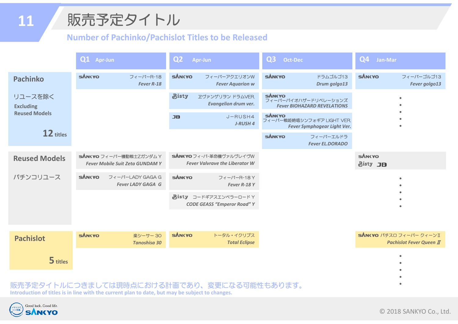## 販売予定タイトル

#### **Number of Pachinko/Pachislot Titles to be Released**

|                             | Q1 Apr-Jun    |                                                                   | Q <sub>2</sub>                                                   | Apr-Jun                                                                                    | Q <sub>3</sub><br><b>Oct-Dec</b>                                            |                                     | Q4<br>Jan-Mar             |                                                            |
|-----------------------------|---------------|-------------------------------------------------------------------|------------------------------------------------------------------|--------------------------------------------------------------------------------------------|-----------------------------------------------------------------------------|-------------------------------------|---------------------------|------------------------------------------------------------|
| <b>Pachinko</b>             | <b>SÁNKYO</b> | フィーバーR-18<br>Fever R-18                                           | <b>SÁNKYO</b>                                                    | フィーバーアクエリオンW<br><b>Fever Aquarion w</b>                                                    | <b>SÁNKYO</b>                                                               | ドラムゴルゴ13<br>Drum golgo13            | <b>SÁNKYO</b>             | フィーバーゴルゴ13<br>Fever golgo13                                |
| リユースを除く<br><b>Excluding</b> |               |                                                                   | <b>Bisty</b>                                                     | ヱヴァンゲリヲン ドラムVER.<br><b>Evangelion drum ver.</b>                                            | <b>SÁNCYO</b><br>フィーバーバイオハザードリベレーションズ<br><b>Fever BIOHAZARD REVELATIONS</b> |                                     | ٠                         |                                                            |
| <b>Reused Models</b>        |               |                                                                   | <b>JB</b>                                                        | SANKYO<br>J-RUSH4<br>フィーバー戦姫絶唱シンフォギア LIGHT VER.<br>J-RUSH 4<br>Fever Symphogear Light Ver. |                                                                             |                                     |                           |                                                            |
| 12 titles                   |               |                                                                   | <b>SÁNKYO</b>                                                    |                                                                                            |                                                                             | フィーバーエルドラ<br><b>Fever EL.DORADO</b> |                           |                                                            |
| <b>Reused Models</b>        |               | sANKYO フィーバー機動戦士Zガンダム Y<br><b>Fever Mobile Suit Zeta GUNDAM Y</b> | SANKYO フィーバー革命機ヴァルヴレイヴW<br><b>Fever Valvrave the Liberator W</b> |                                                                                            |                                                                             |                                     | <b>SÁNKYO</b><br>Bisty JB |                                                            |
| パチンコリユース                    | <b>SÁNKYO</b> | フィーバーLADY GAGA G<br><b>Fever LADY GAGA G</b>                      | <b>SÁNKYO</b>                                                    | フィーバーR-18Y<br>Fever R-18Y                                                                  |                                                                             |                                     |                           |                                                            |
|                             |               |                                                                   |                                                                  | Bisty コードギアスエンペラーロードY<br><b>CODE GEASS "Emperor Road" Y</b>                                |                                                                             |                                     |                           |                                                            |
|                             |               |                                                                   |                                                                  |                                                                                            |                                                                             |                                     |                           |                                                            |
| <b>Pachislot</b>            | <b>SÁNKYO</b> | 楽シーサー30<br><b>Tanoshisa 30</b>                                    | <b>SÁNKYO</b>                                                    | トータル・イクリプス<br><b>Total Eclipse</b>                                                         |                                                                             |                                     |                           | SANKYO パチスロ フィーバー クィーンI<br><b>Pachislot Fever Queen II</b> |
| 5 titles                    |               |                                                                   |                                                                  |                                                                                            |                                                                             |                                     |                           |                                                            |
| 予定夕                         |               | 'イトルにつきましては現時点における計画であり                                           |                                                                  | 変更になる可能性もあります。                                                                             |                                                                             |                                     |                           |                                                            |

**Introduction of titles is in line with the current plan to date, but may be subject to changes.**

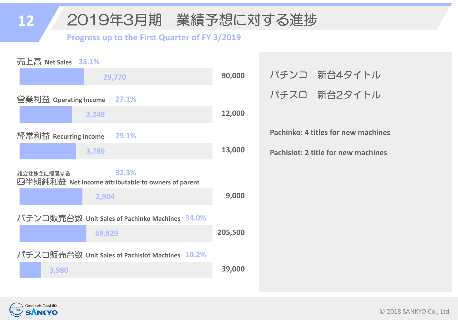#### **12**2019年3月期 業績予想に対する進捗

#### **Progress up to the First Quarter of FY 3/2019**

| 売上高 Net Sales 33.1%                                                       |         |
|---------------------------------------------------------------------------|---------|
| 29,770                                                                    | 90,000  |
| 営業利益 Operating Income<br>27.1%                                            |         |
| 3,249                                                                     | 12,000  |
| 経常利益 Recurring Income<br>29.1%                                            |         |
| 3,786                                                                     | 13,000  |
| 32.3%<br>親会社株主に帰属する<br>四半期純利益 Net Income attributable to owners of parent |         |
| 2,904                                                                     | 9,000   |
| パチンコ販売台数 Unit Sales of Pachinko Machines 34.0%                            |         |
| 69,829                                                                    | 205,500 |
| パチスロ販売台数 Unit Sales of Pachislot Machines 10.2%                           |         |
| 3,980                                                                     | 39,000  |
|                                                                           |         |

| パチンコ 新台4タイトル |
|--------------|
| パチスロ 新台2タイトル |

**Pachinko: 4 titles for new machines**

**Pachislot: 2 title for new machines**

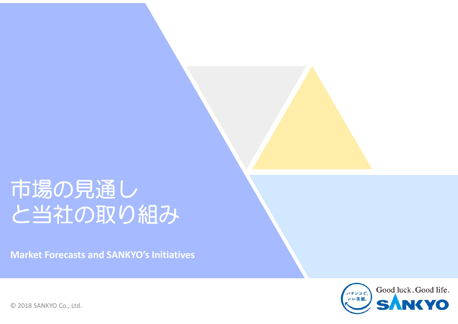# 市場の見通し と当社の取り組み

**Market Forecasts and SANKYO's Initiatives** 

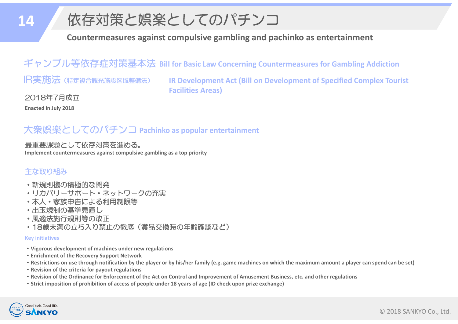## 依存対策と娯楽としてのパチンコ

**Countermeasures against compulsive gambling and pachinko as entertainment**

ギャンブル等依存症対策基本法 **Bill for Basic Law Concerning Countermeasures for Gambling Addiction**

IR実施法(特定複合観光施設区域整備法)

**IR Development Act (Bill on Development of Specified Complex Tourist Facilities Areas)**

2018年7月成立

**Enacted in July 2018**

#### 大衆娯楽としてのパチンコ **Pachinko as popular entertainment**

#### 最重要課題として依存対策を進める。

**Implement countermeasures against compulsive gambling as a top priority**

#### 主な取り組み

- ・新規則機の積極的な開発
- ・リカバリーサポート・ネットワークの充実
- ・本人・家族申告による利用制限等
- ・出玉規制の基準見直し
- ・風適法施行規則等の改正
- ・18歳未満の立ち入り禁止の徹底(賞品交換時の年齢確認など)

#### **Key initiatives**

- ・**Vigorous development of machines under new regulations**
- ・**Enrichment of the Recovery Support Network**
- ・**Restrictions on use through notification by the player or by his/her family (e.g. game machines on which the maximum amount a player can spend can be set)**
- ・**Revision of the criteria for payout regulations**
- ・**Revision of the Ordinance for Enforcement of the Act on Control and Improvement of Amusement Business, etc. and other regulations**
- ・**Strict imposition of prohibition of access of people under 18 years of age (ID check upon prize exchange)**

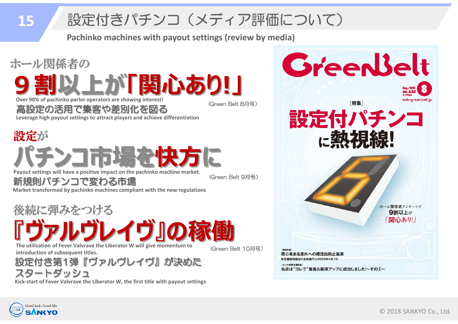# 設定付きパチンコ(メディア評価について)

**Pachinko machines with payout settings (review by media)**



![](_page_15_Picture_3.jpeg)

**15**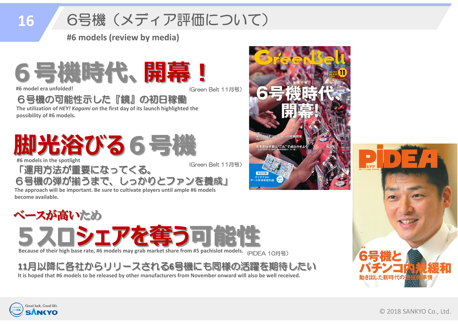#### 6号機(メディア評価について) **16**

**#6 models (review by media)**

![](_page_16_Picture_2.jpeg)

**#6 model era unfolded!**

(Green Belt 11月号)

6号機の可能性示した『鏡』の初日稼働

**The utilization of** *HEY! Kagami* **on the first day of its launch highlighted the possibility of #6 models.**

**脚光浴びる6号機 #6 models in the spotlight**

「運用方法が重要になってくる。

(Green Belt 11月号)

6号機の弾が揃うまで、しっかりとファンを養成」

**The approach will be important. Be sure to cultivate players until ample #6 models become available.**

ベースが高いため 5 スロシェアな雀 Because of their high base rate, #6 models may grab market share from #5 pachislot models.  $\epsilon$  <sub>(PIDEA</sub> 10月号)

**<sup>11</sup>**月以降に各社からリリースされる **6**号機にも同様の活躍を期待したい

**It is hoped that #6 models to be released by other manufacturers from November onward will also be well received.**

![](_page_16_Picture_15.jpeg)

![](_page_16_Picture_16.jpeg)

![](_page_16_Picture_17.jpeg)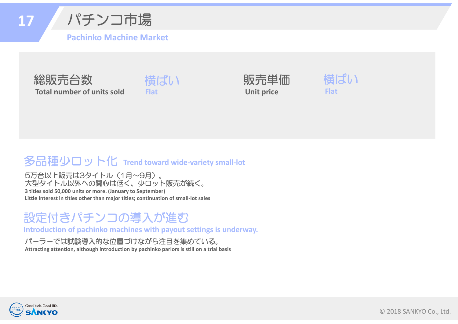**17**パチンコ市場

**Pachinko Machine Market**

![](_page_17_Picture_2.jpeg)

![](_page_17_Picture_3.jpeg)

![](_page_17_Picture_4.jpeg)

![](_page_17_Picture_5.jpeg)

### 多品種少ロット化 **Trend toward wide‐variety small‐lot**

5万台以上販売は3タイトル(1月~9月)。 大型タイトル以外への関心は低く、少ロット販売が続く。 **3 titles sold 50,000 units or more. (January to September) Little interest in titles other than major titles; continuation of small‐lot sales** 

### 設定付きパチンコの導入が進む

**Introduction of pachinko machines with payout settings is underway.**

#### パーラーでは試験導入的な位置づけながら注目を集めている。

**Attracting attention, although introduction by pachinko parlors is still on a trial basis**

![](_page_17_Picture_12.jpeg)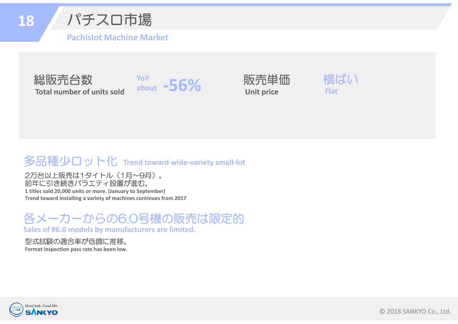![](_page_18_Picture_0.jpeg)

パチスロ市場

**Pachislot Machine Market**

![](_page_18_Picture_3.jpeg)

![](_page_18_Picture_4.jpeg)

![](_page_18_Picture_5.jpeg)

![](_page_18_Picture_6.jpeg)

### 多品種少ロット化 **Trend toward wide‐variety small‐lot**

2万台以上販売は1タイトル(1月~9月)。 前年に引き続きバラエティ設置が進む。 **1 titles sold 20,000 units or more. (January to September) Trend toward installing a variety of machines continues from 2017**

#### 各メーカーからの6.0号機の販売は限定的 **Sales of #6.0 models by manufacturers are limited.**

型式試験の適合率が低調に推移。

**Format inspection pass rate has been low.**

![](_page_18_Picture_12.jpeg)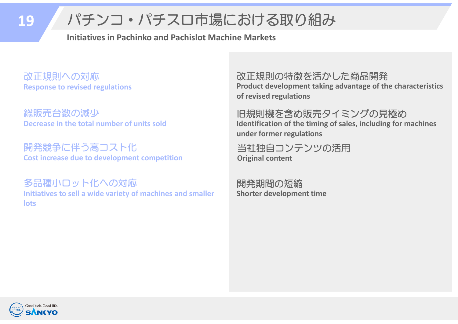#### パチンコ・パチスロ市場における取り組み **19**

**Initiatives in Pachinko and Pachislot Machine Markets**

改正規則への対応 **Response to revised regulations**

総販売台数の減少 **Decrease in the total number of units sold**

開発競争に伴う高コスト化 **Cost increase due to development competition**

多品種小ロット化への対応 **Initiatives to sell a wide variety of machines and smaller lots**

改正規則の特徴を活かした商品開発 **Product development taking advantage of the characteristics of revised regulations**

旧規則機を含め販売タイミングの見極め **Identification of the timing of sales, including for machines under former regulations**

当社独自コンテンツの活用 **Original content**

開発期間の短縮 **Shorter development time**

![](_page_19_Picture_10.jpeg)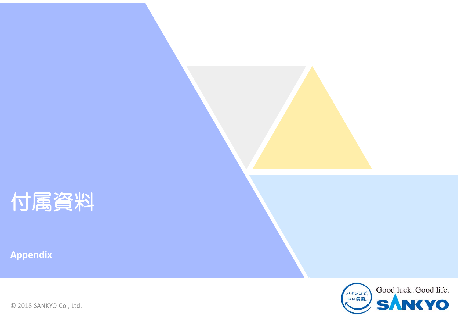![](_page_20_Picture_0.jpeg)

**Appendix**

![](_page_20_Picture_2.jpeg)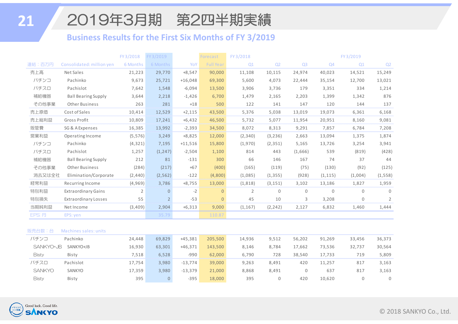### 2019年3月期 第2四半期実績

#### **Business Results for the First Six Months of FY 3/2019**

|        |                             | FY3/2018       | FY3/2019       |           | Forecast         | FY 3/2018      |                |                |              | FY3/2019     |                |
|--------|-----------------------------|----------------|----------------|-----------|------------------|----------------|----------------|----------------|--------------|--------------|----------------|
| 連結:百万円 | Consolidated: million yen   | 6 Months       | 6 Months       | YoY       | <b>Full Year</b> | Q1             | Q <sub>2</sub> | Q <sub>3</sub> | Q4           | Q1           | Q <sub>2</sub> |
| 売上高    | Net Sales                   | 21,223         | 29,770         | $+8,547$  | 90,000           | 11,108         | 10,115         | 24,974         | 40,023       | 14,521       | 15,249         |
| パチンコ   | Pachinko                    | 9,673          | 25,721         | $+16,048$ | 69,300           | 5,600          | 4,073          | 22,444         | 35,154       | 12,700       | 13,021         |
| パチスロ   | Pachislot                   | 7,642          | 1,548          | $-6,094$  | 13,500           | 3,906          | 3,736          | 179            | 3,351        | 334          | 1,214          |
| 補給機器   | <b>Ball Bearing Supply</b>  | 3,644          | 2,218          | $-1,426$  | 6,700            | 1,479          | 2,165          | 2,203          | 1,399        | 1,342        | 876            |
| その他事業  | <b>Other Business</b>       | 263            | 281            | $+18$     | 500              | 122            | 141            | 147            | 120          | 144          | 137            |
| 売上原価   | Cost of Sales               | 10,414         | 12,529         | $+2,115$  | 43,500           | 5,376          | 5,038          | 13,019         | 19,073       | 6,361        | 6,168          |
| 売上総利益  | Gross Profit                | 10,809         | 17,241         | $+6,432$  | 46,500           | 5,732          | 5,077          | 11,954         | 20,951       | 8,160        | 9,081          |
| 販管費    | SG & A Expenses             | 16,385         | 13,992         | $-2,393$  | 34,500           | 8,072          | 8,313          | 9,291          | 7,857        | 6,784        | 7,208          |
| 営業利益   | Operating Income            | (5, 576)       | 3,249          | $+8,825$  | 12,000           | (2,340)        | (3, 236)       | 2,663          | 13,094       | 1,375        | 1,874          |
| パチンコ   | Pachinko                    | (4, 321)       | 7,195          | $+11,516$ | 15,800           | (1,970)        | (2, 351)       | 5,165          | 13,726       | 3,254        | 3,941          |
| パチスロ   | Pachislot                   | 1,257          | (1, 247)       | $-2,504$  | 1,100            | 814            | 443            | (1,666)        | 539          | (819)        | (428)          |
| 補給機器   | <b>Ball Bearing Supply</b>  | 212            | 81             | $-131$    | 300              | 66             | 146            | 167            | 74           | 37           | 44             |
| その他事業  | <b>Other Business</b>       | (284)          | (217)          | $+67$     | (400)            | (165)          | (119)          | (75)           | (130)        | (92)         | (125)          |
| 消去又は全社 | Elimination/Corporate       | (2,440)        | (2, 562)       | $-122$    | (4,800)          | (1,085)        | (1, 355)       | (928)          | (1, 115)     | (1,004)      | (1, 558)       |
| 経常利益   | Recurring Income            | (4,969)        | 3,786          | $+8,755$  | 13,000           | (1, 818)       | (3, 151)       | 3,102          | 13,186       | 1,827        | 1,959          |
| 特別利益   | <b>Extraordinary Gains</b>  | $\overline{2}$ | $\overline{0}$ | $-2$      | $\overline{0}$   | $\overline{2}$ | $\Omega$       | $\Omega$       | $\mathbf{0}$ | $\Omega$     | $\Omega$       |
| 特別損失   | <b>Extraordinary Losses</b> | 55             | $2^{\circ}$    | $-53$     | $\overline{0}$   | 45             | 10             | 3              | 3,208        | $\mathbf{0}$ | $\overline{2}$ |
| 当期純利益  | Net Income                  | (3,409)        | 2,904          | $+6,313$  | 9,000            | (1, 167)       | (2, 242)       | 2,127          | 6,832        | 1,460        | 1,444          |
| EPS: 円 | EPS: yen                    |                | 35.79          |           | 110.87           |                |                |                |              |              |                |
|        |                             |                |                |           |                  |                |                |                |              |              |                |

#### 販売台数:台 Machines sales: units

| パチンコ          | Pachinko  | 24,448 | 69,829 | $+45,381$ | 205,500 | 14,936 | 9,512 | 56,202 | 91,269 | 33,456 | 36,373 |
|---------------|-----------|--------|--------|-----------|---------|--------|-------|--------|--------|--------|--------|
| SANKYO+JB     | SANKYO+JB | 16,930 | 63,301 | $+46,371$ | 143,500 | 8,146  | 8.784 | 17,662 | 73,536 | 32,737 | 30,564 |
| <b>Bisty</b>  | Bisty     | 7,518  | 6.528  | -990      | 62,000  | 6,790  | 728   | 38.540 | 17.733 | 719    | 5,809  |
| パチスロ          | Pachislot | 17.754 | 3.980  | $-13.774$ | 39,000  | 9,263  | 8.491 | 420    | 11.257 | 817    | 3,163  |
| <b>SANKYO</b> | SANKYO    | 17,359 | 3.980  | $-13,379$ | 21,000  | 8.868  | 8.491 |        | 637    | 817    | 3,163  |
| <b>Bisty</b>  | Bisty     | 395    | 0      | $-395$    | 18,000  | 395    |       | 420    | 10,620 |        |        |

![](_page_21_Picture_5.jpeg)

**21**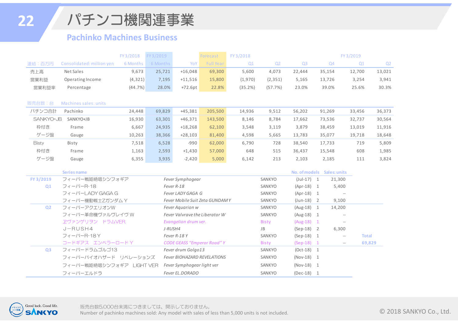**22**

パチンコ機関連事業

#### **Pachinko Machines Business**

|              |                           | FY3/2018 | FY3/2019 |                            | Forecast                           | FY 3/2018 |                |                |                     | FY3/2019                                            |              |
|--------------|---------------------------|----------|----------|----------------------------|------------------------------------|-----------|----------------|----------------|---------------------|-----------------------------------------------------|--------------|
| 連結:百万円       | Consolidated: million yen | 6 Months | 6 Months | YoY                        | <b>Full Year</b>                   | Q1        | Q <sub>2</sub> | Q <sub>3</sub> | Q4                  | Q1                                                  | Q2           |
| 売上高          | Net Sales                 | 9,673    | 25,721   | $+16,048$                  | 69,300                             | 5,600     | 4,073          | 22,444         | 35,154              | 12,700                                              | 13,021       |
| 営業利益         | Operating Income          | (4, 321) | 7,195    | $+11,516$                  | 15,800                             | (1,970)   | (2, 351)       | 5,165          | 13,726              | 3,254                                               | 3,941        |
| 営業利益率        | Percentage                | (44.7%)  | 28.0%    | $+72.6pt$                  | 22.8%                              | (35.2%)   | (57.7%)        | 23.0%          | 39.0%               | 25.6%                                               | 30.3%        |
|              |                           |          |          |                            |                                    |           |                |                |                     |                                                     |              |
| 販売台数:台       | Machines sales: units     |          |          |                            |                                    |           |                |                |                     |                                                     |              |
| パチンコ合計       | Pachinko                  | 24,448   | 69,829   | $+45,381$                  | 205,500                            | 14,936    | 9,512          | 56,202         | 91,269              | 33,456                                              | 36,373       |
| SANKYO+JB    | SANKYO+JB                 | 16,930   | 63,301   | $+46,371$                  | 143,500                            | 8,146     | 8,784          | 17,662         | 73,536              | 32,737                                              | 30,564       |
| 枠付き          | Frame                     | 6,667    | 24,935   | $+18,268$                  | 62,100                             | 3,548     | 3,119          | 3,879          | 38,459              | 13,019                                              | 11,916       |
| ゲージ盤         | Gauge                     | 10,263   | 38,366   | $+28,103$                  | 81,400                             | 4,598     | 5,665          | 13,783         | 35,077              | 19,718                                              | 18,648       |
| <b>Bisty</b> | Bisty                     | 7,518    | 6,528    | $-990$                     | 62,000                             | 6,790     | 728            | 38,540         | 17,733              | 719                                                 | 5,809        |
| 枠付き          | Frame                     | 1,163    | 2,593    | $+1,430$                   | 57,000                             | 648       | 515            | 36,437         | 15,548              | 608                                                 | 1,985        |
| ゲージ盤         | Gauge                     | 6,355    | 3,935    | $-2,420$                   | 5,000                              | 6,142     | 213            | 2,103          | 2,185               | 111                                                 | 3,824        |
|              |                           |          |          |                            |                                    |           |                |                |                     |                                                     |              |
|              | <b>Series name</b>        |          |          |                            |                                    |           |                | No. of models  | <b>Sales: units</b> |                                                     |              |
| FY 3/2019    | フィーバー戦姫絶唱シンフォギア           |          |          | Fever Symphogear           |                                    |           | SANKYO         | $(Jul-17) 1$   |                     | 21,300                                              |              |
| Q1           | フィーバーR-18                 |          |          | Fever R-18                 |                                    |           | SANKYO         | $(Apr-18) 1$   |                     | 5,400                                               |              |
|              | フィーバーLADY GAGA G          |          |          | Fever LADY GAGA G          |                                    |           | SANKYO         | $(Apr-18) 1$   |                     |                                                     |              |
|              | フィーバー機動戦士ZガンダムY           |          |          |                            | Fever Mobile Suit Zeta GUNDAMY     |           | SANKYO         | $(Jun-18) 2$   |                     | 9,100                                               |              |
| <b>Q2</b>    | フィーバーアクエリオンW              |          |          | Fever Aquarion w           |                                    |           | SANKYO         | $(Aug-18) 1$   |                     | 14,200                                              |              |
|              | フィーバー革命機ヴァルヴレイヴ W         |          |          |                            | Fever Valvrave the Liberator W     |           | SANKYO         | $(Aug-18) 1$   |                     |                                                     |              |
|              | ヱヴァンゲリヲン ドラムVER           |          |          | Evangelion drum ver.       |                                    |           | <b>Bisty</b>   | $(Aug-18) 1$   |                     | $\sim$                                              |              |
|              | $J-RUSH4$                 |          | J-RUSH4  |                            |                                    |           | JB             | $(Sep-18)$ 2   |                     | 6,300                                               |              |
|              | フィーバーR-18Y                |          |          | Fever R-18 Y               |                                    |           | SANKYO         | $(Sep-18)$     | 1                   | $\hspace{0.05cm}--\hspace{0.05cm}$                  | <b>Total</b> |
|              | コードギアス エンペラーロード Y         |          |          |                            | <b>CODE GEASS "Emperor Road" Y</b> |           | <b>Bisty</b>   | $(Sep-18) 1$   |                     | $\hspace{0.05cm} -\hspace{0.05cm} -\hspace{0.05cm}$ | 69,829       |
| Q3           | フィーバードラムゴルゴ13             |          |          | Fever drum Golgo13         |                                    |           | SANKYO         | $(Oct-18) 1$   |                     |                                                     |              |
|              | フィーバーバイオハザード リベレーションズ     |          |          |                            | Fever BIOHAZARD REVELATIONS        |           | SANKYO         | $(Nov-18) 1$   |                     |                                                     |              |
|              | フィーバー戦姫絶唱シンフォギア LIGHT VER |          |          | Fever Symphogear light ver |                                    |           | SANKYO         | $(Nov-18) 1$   |                     |                                                     |              |
|              | フィーバーエルドラ                 |          |          | Fever EL.DORADO            |                                    |           | SANKYO         | $(Dec-18) 1$   |                     |                                                     |              |

![](_page_22_Picture_4.jpeg)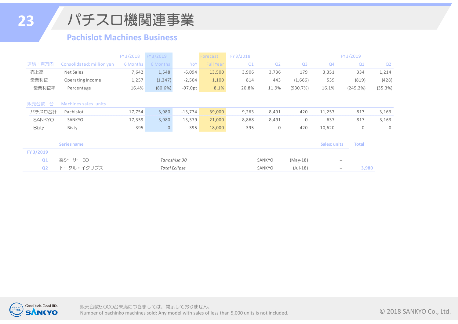**23**

パチスロ機関連事業

#### **Pachislot Machines Business**

|                |                           | FY3/2018 | FY 3/2019      |                      | Forecast         | FY 3/2018 |                                         |                |                   | FY3/2019     |             |
|----------------|---------------------------|----------|----------------|----------------------|------------------|-----------|-----------------------------------------|----------------|-------------------|--------------|-------------|
| 連結:百万円         | Consolidated: million yen | 6 Months | 6 Months       | YoY                  | <b>Full Year</b> | Q1        | Q <sub>2</sub>                          | Q <sub>3</sub> | Q <sub>4</sub>    | Q1           | Q2          |
| 売上高            | Net Sales                 | 7,642    | 1,548          | $-6,094$             | 13,500           | 3,906     | 3,736                                   | 179            | 3,351             | 334          | 1,214       |
| 営業利益           | Operating Income          | 1,257    | (1, 247)       | $-2,504$             | 1,100            | 814       | 443                                     | (1,666)        | 539               | (819)        | (428)       |
| 営業利益率          | Percentage                | 16.4%    | (80.6%)        | $-97.0pt$            | 8.1%             | 20.8%     | 11.9%                                   | (930.7%)       | 16.1%             | (245.2%)     | (35.3%)     |
|                |                           |          |                |                      |                  |           |                                         |                |                   |              |             |
| 販売台数:台         | Machines sales: units     |          |                |                      |                  |           |                                         |                |                   |              |             |
| パチスロ合計         | Pachislot                 | 17,754   | 3,980          | $-13,774$            | 39,000           | 9,263     | 8,491                                   | 420            | 11,257            | 817          | 3,163       |
| <b>SANKYO</b>  | SANKYO                    | 17,359   | 3,980          | $-13,379$            | 21,000           | 8,868     | 8,491                                   | 0              | 637               | 817          | 3,163       |
| <b>Bisty</b>   | Bisty                     | 395      | $\overline{0}$ | $-395$               | 18,000           | 395       | 0                                       | 420            | 10,620            | 0            | $\mathbf 0$ |
|                |                           |          |                |                      |                  |           |                                         |                |                   |              |             |
|                | Series name               |          |                |                      |                  |           |                                         |                | Sales: units      | <b>Total</b> |             |
| FY 3/2019      |                           |          |                |                      |                  |           |                                         |                |                   |              |             |
| Q1             | 楽シーサー 30                  |          |                | Tanoshisa 30         |                  |           | SANKYO                                  | $(May-18)$     | $\hspace{0.05cm}$ |              |             |
| Q <sub>2</sub> | トータル・イクリプス                |          |                | <b>Total Eclipse</b> |                  |           | $($ Jul-18)<br>SANKYO<br>3,980<br>$- -$ |                |                   |              |             |

![](_page_23_Picture_4.jpeg)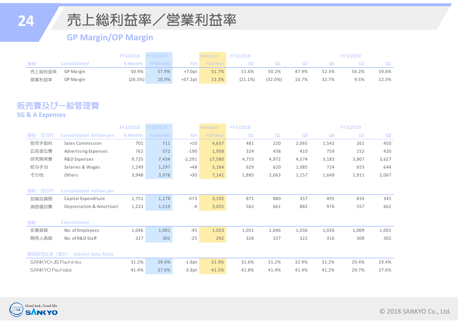### **24**

### 売上総利益率/営業利益率

#### **GP Margin/OP Margin**

|        |                  |         | FY3/2018 FY3/2019 |            | Forecast  | FY 3/2018  |         |       |       | FY3/2019 |       |
|--------|------------------|---------|-------------------|------------|-----------|------------|---------|-------|-------|----------|-------|
| 連結     | Consolidated     |         | 6 Months 6 Months | YoY        | Full Year | Ο1         | Q2      | Q3.   | Q4    |          | Q2    |
| 売上総利益率 | <b>GP Margin</b> | 50.9%   | 57.9%             | $+7.0$ pt  | 51.7%     | 51.6%      | 50.2%   | 47.9% | 52.3% | 56.2%    | 59.6% |
| 営業利益率  | OP Margin        | (26.3%) | 10.9%             | $+37.2$ pt | 13.3%     | $(21.1\%)$ | (32.0%) | 10.7% | 32.7% | 9.5%     | 12.3% |

#### 販売費及び一般管理費 **SG & A Expenses**

|                         |                             | FY3/2018 | FY 3/2019 |          | Forecast         | FY3/2018 |                |                |       | FY3/2019 |                |
|-------------------------|-----------------------------|----------|-----------|----------|------------------|----------|----------------|----------------|-------|----------|----------------|
| 連結:百万円                  | Consolidated: million yen   | 6 Months | 6 Months  | YoY      | <b>Full Year</b> | Q1       | Q <sub>2</sub> | Q <sub>3</sub> | Q4    | Q1       | Q <sub>2</sub> |
| 販売手数料                   | Sales Commission            | 701      | 711       | $+10$    | 4,637            | 481      | 220            | 2,065          | 1,542 | 261      | 450            |
| 広告宣伝費                   | Advertising Expenses        | 762      | 572       | $-190$   | 1,958            | 324      | 438            | 410            | 759   | 152      | 420            |
| 研究開発費                   | R&D Expenses                | 9,725    | 7,434     | $-2,291$ | 17,580           | 4,753    | 4,972          | 4,574          | 3,183 | 3,807    | 3,627          |
| 給与手当                    | Salaries & Wages            | 1,249    | 1,297     | $+48$    | 3,184            | 629      | 620            | 1,085          | 724   | 653      | 644            |
| その他                     | Others                      | 3,948    | 3,978     | $+30$    | 7,141            | 1,885    | 2,063          | 1,157          | 1,649 | 1,911    | 2,067          |
|                         |                             |          |           |          |                  |          |                |                |       |          |                |
| 連結:百万円                  | Consolidated: million yen   |          |           |          |                  |          |                |                |       |          |                |
| 設備投資額                   | Capital Expenditure         | 1,751    | 1,178     | $-573$   | 3,192            | 871      | 880            | 357            | 495   | 833      | 345            |
| 減価償却費                   | Depreciation & Amortizati   | 1,223    | 1,219     | -4       | 3,055            | 562      | 661            | 882            | 976   | 557      | 662            |
|                         |                             |          |           |          |                  |          |                |                |       |          |                |
| 連結                      | Consolidated                |          |           |          |                  |          |                |                |       |          |                |
| 従業員数                    | No. of Employees            | 1,046    | 1,001     | $-45$    | 1,023            | 1,051    | 1,046          | 1,036          | 1,026 | 1,009    | 1,001          |
| 開発人員数                   | No. of R&D Staff            | 327      | 302       | $-25$    | 292              | 328      | 327            | 322            | 316   | 308      | 302            |
|                         |                             |          |           |          |                  |          |                |                |       |          |                |
| 間接販売比率 (累計)             | <b>Indirect Sales Ratio</b> |          |           |          |                  |          |                |                |       |          |                |
| SANKYO+JB Pachinko      |                             | 31.2%    | 29.4%     | $-1.8pt$ | 31.9%            | 31.6%    | 31.2%          | 32.9%          | 31.2% | 29.4%    | 29.4%          |
| <b>SANKYO Pachislot</b> |                             | 41.4%    | 37.6%     | $-3.8pt$ | 41.5%            | 41.8%    | 41.4%          | 41.4%          | 41.2% | 29.7%    | 37.6%          |

![](_page_24_Picture_6.jpeg)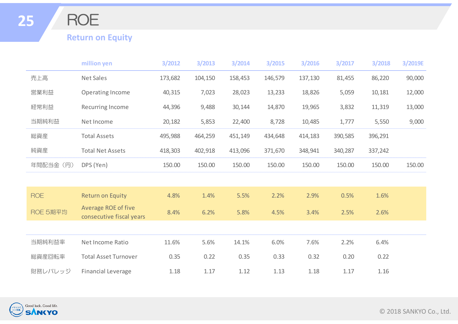ROE

#### **Return on Equity**

|            | million yen                                     | 3/2012  | 3/2013  | 3/2014  | 3/2015  | 3/2016  | 3/2017  | 3/2018  | 3/2019E |
|------------|-------------------------------------------------|---------|---------|---------|---------|---------|---------|---------|---------|
| 売上高        | Net Sales                                       | 173,682 | 104,150 | 158,453 | 146,579 | 137,130 | 81,455  | 86,220  | 90,000  |
| 営業利益       | Operating Income                                | 40,315  | 7,023   | 28,023  | 13,233  | 18,826  | 5,059   | 10,181  | 12,000  |
| 経常利益       | Recurring Income                                | 44,396  | 9,488   | 30,144  | 14,870  | 19,965  | 3,832   | 11,319  | 13,000  |
| 当期純利益      | Net Income                                      | 20,182  | 5,853   | 22,400  | 8,728   | 10,485  | 1,777   | 5,550   | 9,000   |
| 総資産        | <b>Total Assets</b>                             | 495,988 | 464,259 | 451,149 | 434,648 | 414,183 | 390,585 | 396,291 |         |
| 純資産        | <b>Total Net Assets</b>                         | 418,303 | 402,918 | 413,096 | 371,670 | 348,941 | 340,287 | 337,242 |         |
| 年間配当金 (円)  | DPS (Yen)                                       | 150.00  | 150.00  | 150.00  | 150.00  | 150.00  | 150.00  | 150.00  | 150.00  |
|            |                                                 |         |         |         |         |         |         |         |         |
| <b>ROE</b> | <b>Return on Equity</b>                         | 4.8%    | 1.4%    | 5.5%    | 2.2%    | 2.9%    | 0.5%    | 1.6%    |         |
| ROE 5期平均   | Average ROE of five<br>consecutive fiscal years | 8.4%    | 6.2%    | 5.8%    | 4.5%    | 3.4%    | 2.5%    | 2.6%    |         |
|            |                                                 |         |         |         |         |         |         |         |         |
| 当期純利益率     | Net Income Ratio                                | 11.6%   | 5.6%    | 14.1%   | 6.0%    | 7.6%    | 2.2%    | 6.4%    |         |
| 総資産回転率     | <b>Total Asset Turnover</b>                     | 0.35    | 0.22    | 0.35    | 0.33    | 0.32    | 0.20    | 0.22    |         |
| 財務レバレッジ    | <b>Financial Leverage</b>                       | 1.18    | 1.17    | 1.12    | 1.13    | 1.18    | 1.17    | 1.16    |         |

![](_page_25_Picture_4.jpeg)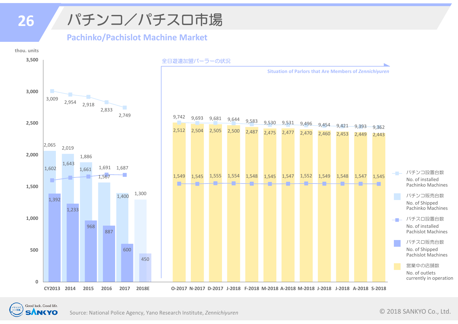## パチンコ/パチスロ市場

**Pachinko/Pachislot Machine Market**

![](_page_26_Figure_2.jpeg)

![](_page_26_Picture_3.jpeg)

**26**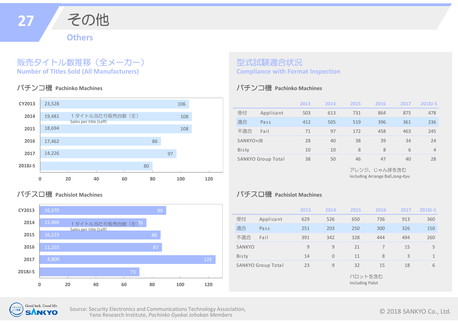![](_page_27_Picture_0.jpeg)

#### 販売タイトル数推移(全メーカー) **Number of Titles Sold (All Manufacturers)**

#### パチンコ機 **Pachinko Machines**

![](_page_27_Figure_3.jpeg)

#### パチスロ機 **Pachislot Machines**

![](_page_27_Figure_5.jpeg)

#### 型式試験適合状況 **Compliance with Format Inspection**

#### パチンコ機 **Pachinko Machines**

|           |                           | 2013 | 2014 | 2015 | 2016 | 2017 | 2018J-S        |
|-----------|---------------------------|------|------|------|------|------|----------------|
| 受付        | Applicant                 | 503  | 613  | 731  | 864  | 875  | 478            |
| 適合        | Pass                      | 412  | 505  | 519  | 396  | 361  | 236            |
| 不適合       | Fail                      | 71   | 97   | 172  | 458  | 463  | 245            |
| SANKYO+JB |                           | 28   | 40   | 38   | 39   | 34   | 24             |
| Bisty     |                           | 10   | 10   | 8    | 8    | 6    | $\overline{4}$ |
|           | <b>SANKYO Group Total</b> | 38   | 50   | 46   | 47   | 40   | 28             |

including Arrange Ball,*Jong‐Kyu* アレンジ、じゃん球を含む

#### パチスロ機 **Pachislot Machines**

|               |                           | 2013 | 2014           | 2015 | 2016                       | 2017 | 2018J-S      |
|---------------|---------------------------|------|----------------|------|----------------------------|------|--------------|
| 受付            | Applicant                 | 629  | 526            | 650  | 736                        | 913  | 360          |
| 適合            | Pass                      | 251  | 203            | 250  | 300                        | 326  | 150          |
| 不適合           | Fail                      | 391  | 342            | 328  | 444                        | 494  | 260          |
| <b>SANKYO</b> |                           | 9    | 9              | 21   | 7                          | 15   | 5            |
| Bisty         |                           | 14   | $\overline{0}$ | 11   | 8                          | 3    | $\mathbf{1}$ |
|               | <b>SANKYO Group Total</b> | 23   | 9              | 32   | 15                         | 18   | 6            |
|               |                           |      |                |      | パロットを含む<br>including Palot |      |              |

![](_page_27_Picture_12.jpeg)